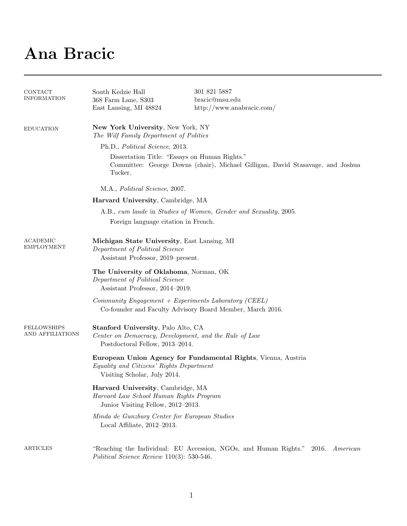## Ana Bracic

| CONTACT<br><b>INFORMATION</b>          | South Kedzie Hall<br>368 Farm Lane, S303<br>East Lansing, MI 48824                                                                         | 301 821 5887<br>bracic@msu.edu<br>http://www.anabracic.com/                           |  |  |
|----------------------------------------|--------------------------------------------------------------------------------------------------------------------------------------------|---------------------------------------------------------------------------------------|--|--|
| <b>EDUCATION</b>                       | New York University, New York, NY<br>The Wilf Family Department of Politics                                                                |                                                                                       |  |  |
|                                        | Ph.D., Political Science, 2013.                                                                                                            |                                                                                       |  |  |
|                                        | Dissertation Title: "Essays on Human Rights."<br>Committee: George Downs (chair), Michael Gilligan, David Stasavage, and Joshua<br>Tucker. |                                                                                       |  |  |
|                                        | M.A., Political Science, 2007.                                                                                                             |                                                                                       |  |  |
|                                        | Harvard University, Cambridge, MA                                                                                                          |                                                                                       |  |  |
|                                        | A.B., cum laude in Studies of Women, Gender and Sexuality, 2005.                                                                           |                                                                                       |  |  |
|                                        | Foreign language citation in French.                                                                                                       |                                                                                       |  |  |
| ACADEMIC<br><b>EMPLOYMENT</b>          | Michigan State University, East Lansing, MI<br>Department of Political Science<br>Assistant Professor, 2019-present.                       |                                                                                       |  |  |
|                                        | The University of Oklahoma, Norman, OK<br>Department of Political Science<br>Assistant Professor, 2014–2019.                               |                                                                                       |  |  |
|                                        | Community Engagement + Experiments Laboratory (CEEL)<br>Co-founder and Faculty Advisory Board Member, March 2016.                          |                                                                                       |  |  |
| <b>FELLOWSHIPS</b><br>AND AFFILIATIONS | Stanford University, Palo Alto, CA<br>Center on Democracy, Development, and the Rule of Law<br>Postdoctoral Fellow, 2013-2014.             |                                                                                       |  |  |
|                                        | European Union Agency for Fundamental Rights, Vienna, Austria<br>Equality and Citizens' Rights Department<br>Visiting Scholar, July 2014.  |                                                                                       |  |  |
|                                        | Harvard University, Cambridge, MA<br>Harvard Law School Human Rights Program<br>Junior Visiting Fellow, 2012-2013.                         |                                                                                       |  |  |
|                                        | Minda de Gunzburg Center for European Studies<br>Local Affiliate, $2012-2013$ .                                                            |                                                                                       |  |  |
| ARTICLES                               | Political Science Review $110(3)$ : 530-546.                                                                                               | "Reaching the Individual: EU Accession, NGOs, and Human Rights."<br>2016.<br>American |  |  |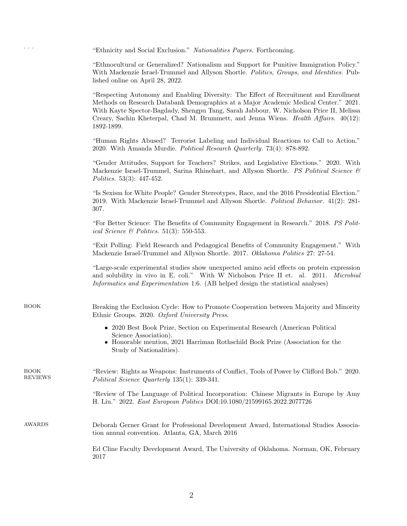"Ethnicity and Social Exclusion." Nationalities Papers. Forthcoming.

"Ethnocultural or Generalized? Nationalism and Support for Punitive Immigration Policy." With Mackenzie Israel-Trummel and Allyson Shortle. Politics, Groups, and Identities. Published online on April 28, 2022.

"Respecting Autonomy and Enabling Diversity: The Effect of Recruitment and Enrollment Methods on Research Databank Demographics at a Major Academic Medical Center." 2021. With Kayte Spector-Bagdady, Shengpu Tang, Sarah Jabbour, W. Nicholson Price II, Melissa Creary, Sachin Kheterpal, Chad M. Brummett, and Jenna Wiens. Health Affairs. 40(12): 1892-1899.

"Human Rights Abused? Terrorist Labeling and Individual Reactions to Call to Action." 2020. With Amanda Murdie. Political Research Quarterly. 73(4): 878-892.

"Gender Attitudes, Support for Teachers? Strikes, and Legislative Elections." 2020. With Mackenzie Israel-Trummel, Sarina Rhinehart, and Allyson Shortle. PS Political Science & Politics. 53(3): 447-452.

"Is Sexism for White People? Gender Stereotypes, Race, and the 2016 Presidential Election." 2019. With Mackenzie Israel-Trummel and Allyson Shortle. Political Behavior. 41(2): 281- 307.

"For Better Science: The Benefits of Community Engagement in Research." 2018. PS Political Science & Politics. 51(3): 550-553.

"Exit Polling: Field Research and Pedagogical Benefits of Community Engagement." With Mackenzie Israel-Trummel and Allyson Shortle. 2017. Oklahoma Politics 27: 27-54.

"Large-scale experimental studies show unexpected amino acid effects on protein expression and solubility in vivo in E. coli." With W Nicholson Price II et. al. 2011. Microbial Informatics and Experimentation 1:6. (AB helped design the statistical analyses)

BOOK Breaking the Exclusion Cycle: How to Promote Cooperation between Majority and Minority Ethnic Groups. 2020. Oxford University Press.

- 2020 Best Book Prize, Section on Experimental Research (American Political Science Association).
- Honorable mention, 2021 Harriman Rothschild Book Prize (Association for the Study of Nationalities).

| BOOK<br><b>REVIEWS</b> | "Review: Rights as Weapons: Instruments of Conflict, Tools of Power by Clifford Bob." 2020.<br>Political Science Quarterly 135(1): 339-341.                      |
|------------------------|------------------------------------------------------------------------------------------------------------------------------------------------------------------|
|                        | "Review of The Language of Political Incorporation: Chinese Migrants in Europe by Amy<br>H. Liu." 2022. East European Politics DOI:10.1080/21599165.2022.2077726 |
| <b>AWARDS</b>          | Deborah Gerner Grant for Professional Development Award, International Studies Associa-<br>tion annual convention. Atlanta, GA, March 2016                       |
|                        | Ed Cline Faculty Development Award, The University of Oklahoma. Norman, OK, February<br>2017                                                                     |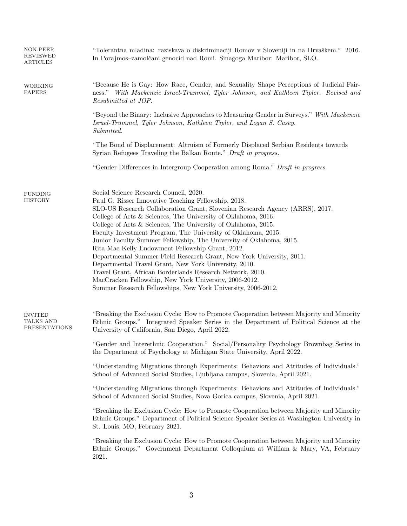| NON-PEER<br>REVIEWED<br>ARTICLES             | "Tolerantna mladina: raziskava o diskriminaciji Romov v Sloveniji in na Hrvaškem." 2016.<br>In Porajmos-zamolčani genocid nad Romi. Sinagoga Maribor: Maribor, SLO.                                                                                                                                                                                                                                                                                                                                                                                                                                                                                                                                                                                                                                                                  |  |  |  |
|----------------------------------------------|--------------------------------------------------------------------------------------------------------------------------------------------------------------------------------------------------------------------------------------------------------------------------------------------------------------------------------------------------------------------------------------------------------------------------------------------------------------------------------------------------------------------------------------------------------------------------------------------------------------------------------------------------------------------------------------------------------------------------------------------------------------------------------------------------------------------------------------|--|--|--|
| <b>WORKING</b><br><b>PAPERS</b>              | "Because He is Gay: How Race, Gender, and Sexuality Shape Perceptions of Judicial Fair-<br>ness." With Mackenzie Israel-Trummel, Tyler Johnson, and Kathleen Tipler. Revised and<br>Resubmitted at JOP.                                                                                                                                                                                                                                                                                                                                                                                                                                                                                                                                                                                                                              |  |  |  |
|                                              | "Beyond the Binary: Inclusive Approaches to Measuring Gender in Surveys." With Mackenzie<br>Israel-Trummel, Tyler Johnson, Kathleen Tipler, and Logan S. Casey.<br>Submitted.                                                                                                                                                                                                                                                                                                                                                                                                                                                                                                                                                                                                                                                        |  |  |  |
|                                              | "The Bond of Displacement: Altruism of Formerly Displaced Serbian Residents towards<br>Syrian Refugees Traveling the Balkan Route." Draft in progress.                                                                                                                                                                                                                                                                                                                                                                                                                                                                                                                                                                                                                                                                               |  |  |  |
|                                              | "Gender Differences in Intergroup Cooperation among Roma." Draft in progress.                                                                                                                                                                                                                                                                                                                                                                                                                                                                                                                                                                                                                                                                                                                                                        |  |  |  |
| <b>FUNDING</b><br><b>HISTORY</b>             | Social Science Research Council, 2020.<br>Paul G. Risser Innovative Teaching Fellowship, 2018.<br>SLO-US Research Collaboration Grant, Slovenian Research Agency (ARRS), 2017.<br>College of Arts & Sciences, The University of Oklahoma, 2016.<br>College of Arts & Sciences, The University of Oklahoma, 2015.<br>Faculty Investment Program, The University of Oklahoma, 2015.<br>Junior Faculty Summer Fellowship, The University of Oklahoma, 2015.<br>Rita Mae Kelly Endowment Fellowship Grant, 2012.<br>Departmental Summer Field Research Grant, New York University, 2011.<br>Departmental Travel Grant, New York University, 2010.<br>Travel Grant, African Borderlands Research Network, 2010.<br>MacCracken Fellowship, New York University, 2006-2012.<br>Summer Research Fellowships, New York University, 2006-2012. |  |  |  |
| <b>INVITED</b><br>TALKS AND<br>PRESENTATIONS | "Breaking the Exclusion Cycle: How to Promote Cooperation between Majority and Minority<br>Ethnic Groups." Integrated Speaker Series in the Department of Political Science at the<br>University of California, San Diego, April 2022.                                                                                                                                                                                                                                                                                                                                                                                                                                                                                                                                                                                               |  |  |  |
|                                              | "Gender and Interethnic Cooperation." Social/Personality Psychology Brownbag Series in<br>the Department of Psychology at Michigan State University, April 2022.                                                                                                                                                                                                                                                                                                                                                                                                                                                                                                                                                                                                                                                                     |  |  |  |
|                                              | "Understanding Migrations through Experiments: Behaviors and Attitudes of Individuals."<br>School of Advanced Social Studies, Ljubljana campus, Slovenia, April 2021.                                                                                                                                                                                                                                                                                                                                                                                                                                                                                                                                                                                                                                                                |  |  |  |
|                                              | "Understanding Migrations through Experiments: Behaviors and Attitudes of Individuals."<br>School of Advanced Social Studies, Nova Gorica campus, Slovenia, April 2021.                                                                                                                                                                                                                                                                                                                                                                                                                                                                                                                                                                                                                                                              |  |  |  |
|                                              | "Breaking the Exclusion Cycle: How to Promote Cooperation between Majority and Minority<br>Ethnic Groups." Department of Political Science Speaker Series at Washington University in<br>St. Louis, MO, February 2021.                                                                                                                                                                                                                                                                                                                                                                                                                                                                                                                                                                                                               |  |  |  |
|                                              | "Breaking the Exclusion Cycle: How to Promote Cooperation between Majority and Minority<br>Ethnic Groups." Government Department Colloquium at William & Mary, VA, February<br>2021.                                                                                                                                                                                                                                                                                                                                                                                                                                                                                                                                                                                                                                                 |  |  |  |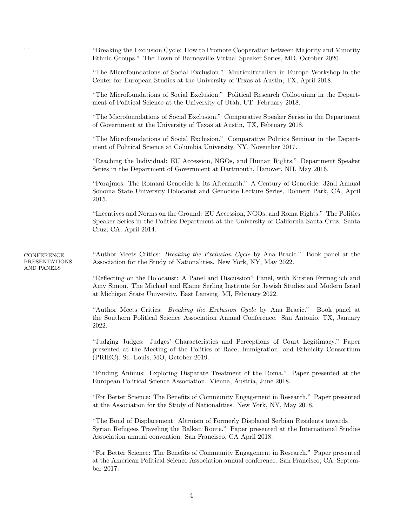. . . "Breaking the Exclusion Cycle: How to Promote Cooperation between Majority and Minority Ethnic Groups." The Town of Barnesville Virtual Speaker Series, MD, October 2020.

"The Microfoundations of Social Exclusion." Multiculturalism in Europe Workshop in the Center for European Studies at the University of Texas at Austin, TX, April 2018.

"The Microfoundations of Social Exclusion." Political Research Colloquium in the Department of Political Science at the University of Utah, UT, February 2018.

"The Microfoundations of Social Exclusion." Comparative Speaker Series in the Department of Government at the University of Texas at Austin, TX, February 2018.

"The Microfoundations of Social Exclusion." Comparative Politics Seminar in the Department of Political Science at Columbia University, NY, November 2017.

"Reaching the Individual: EU Accession, NGOs, and Human Rights." Department Speaker Series in the Department of Government at Dartmouth, Hanover, NH, May 2016.

"Porajmos: The Romani Genocide & its Aftermath." A Century of Genocide: 32nd Annual Sonoma State University Holocaust and Genocide Lecture Series, Rohnert Park, CA, April 2015.

"Incentives and Norms on the Ground: EU Accession, NGOs, and Roma Rights." The Politics Speaker Series in the Politics Department at the University of California Santa Cruz. Santa Cruz, CA, April 2014.

"Author Meets Critics: Breaking the Exclusion Cycle by Ana Bracic." Book panel at the Association for the Study of Nationalities. New York, NY, May 2022.

> "Reflecting on the Holocaust: A Panel and Discussion" Panel, with Kirsten Fermaglich and Amy Simon. The Michael and Elaine Serling Institute for Jewish Studies and Modern Israel at Michigan State University. East Lansing, MI, February 2022.

> "Author Meets Critics: Breaking the Exclusion Cycle by Ana Bracic." Book panel at the Southern Political Science Association Annual Conference. San Antonio, TX, January 2022.

> "Judging Judges: Judges' Characteristics and Perceptions of Court Legitimacy." Paper presented at the Meeting of the Politics of Race, Immigration, and Ethnicity Consortium (PRIEC). St. Louis, MO, October 2019.

> "Finding Animus: Exploring Disparate Treatment of the Roma." Paper presented at the European Political Science Association. Vienna, Austria, June 2018.

> "For Better Science: The Benefits of Community Engagement in Research." Paper presented at the Association for the Study of Nationalities. New York, NY, May 2018.

> "The Bond of Displacement: Altruism of Formerly Displaced Serbian Residents towards Syrian Refugees Traveling the Balkan Route." Paper presented at the International Studies Association annual convention. San Francisco, CA April 2018.

> "For Better Science: The Benefits of Community Engagement in Research." Paper presented at the American Political Science Association annual conference. San Francisco, CA, September 2017.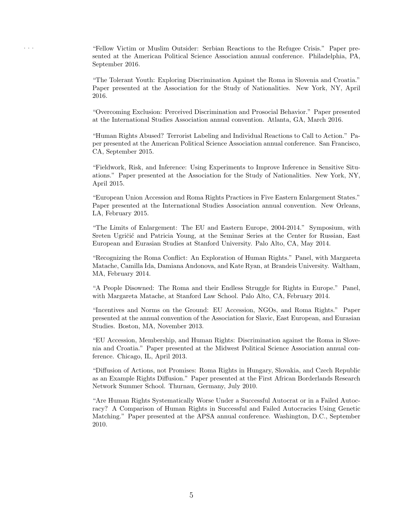. . . "Fellow Victim or Muslim Outsider: Serbian Reactions to the Refugee Crisis." Paper presented at the American Political Science Association annual conference. Philadelphia, PA, September 2016.

"The Tolerant Youth: Exploring Discrimination Against the Roma in Slovenia and Croatia." Paper presented at the Association for the Study of Nationalities. New York, NY, April 2016.

"Overcoming Exclusion: Perceived Discrimination and Prosocial Behavior." Paper presented at the International Studies Association annual convention. Atlanta, GA, March 2016.

"Human Rights Abused? Terrorist Labeling and Individual Reactions to Call to Action." Paper presented at the American Political Science Association annual conference. San Francisco, CA, September 2015.

"Fieldwork, Risk, and Inference: Using Experiments to Improve Inference in Sensitive Situations." Paper presented at the Association for the Study of Nationalities. New York, NY, April 2015.

"European Union Accession and Roma Rights Practices in Five Eastern Enlargement States." Paper presented at the International Studies Association annual convention. New Orleans, LA, February 2015.

"The Limits of Enlargement: The EU and Eastern Europe, 2004-2014." Symposium, with Sreten Ugričić and Patricia Young, at the Seminar Series at the Center for Russian, East European and Eurasian Studies at Stanford University. Palo Alto, CA, May 2014.

"Recognizing the Roma Conflict: An Exploration of Human Rights." Panel, with Margareta Matache, Camilla Ida, Damiana Andonova, and Kate Ryan, at Brandeis University. Waltham, MA, February 2014.

"A People Disowned: The Roma and their Endless Struggle for Rights in Europe." Panel, with Margareta Matache, at Stanford Law School. Palo Alto, CA, February 2014.

"Incentives and Norms on the Ground: EU Accession, NGOs, and Roma Rights." Paper presented at the annual convention of the Association for Slavic, East European, and Eurasian Studies. Boston, MA, November 2013.

"EU Accession, Membership, and Human Rights: Discrimination against the Roma in Slovenia and Croatia." Paper presented at the Midwest Political Science Association annual conference. Chicago, IL, April 2013.

"Diffusion of Actions, not Promises: Roma Rights in Hungary, Slovakia, and Czech Republic as an Example Rights Diffusion." Paper presented at the First African Borderlands Research Network Summer School. Thurnau, Germany, July 2010.

"Are Human Rights Systematically Worse Under a Successful Autocrat or in a Failed Autocracy? A Comparison of Human Rights in Successful and Failed Autocracies Using Genetic Matching." Paper presented at the APSA annual conference. Washington, D.C., September 2010.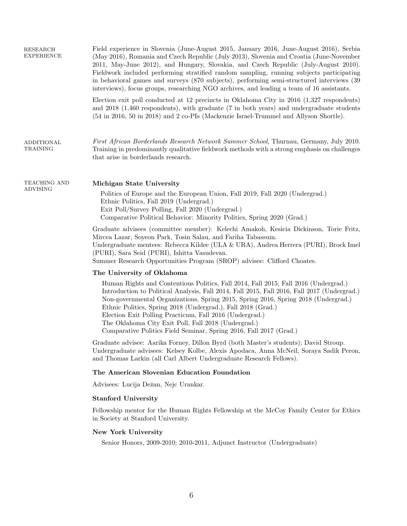| <b>RESEARCH</b><br><b>EXPERIENCE</b> | Field experience in Slovenia (June-August 2015, January 2016, June-August 2016), Serbia<br>(May 2016), Romania and Czech Republic (July 2013), Slovenia and Croatia (June-November<br>2011, May-June 2012), and Hungary, Slovakia, and Czech Republic (July-August 2010).<br>Fieldwork included performing stratified random sampling, running subjects participating<br>in behavioral games and surveys (870 subjects), performing semi-structured interviews (39<br>interviews), focus groups, researching NGO archives, and leading a team of 16 assistants. |  |  |  |
|--------------------------------------|-----------------------------------------------------------------------------------------------------------------------------------------------------------------------------------------------------------------------------------------------------------------------------------------------------------------------------------------------------------------------------------------------------------------------------------------------------------------------------------------------------------------------------------------------------------------|--|--|--|
|                                      | Election exit poll conducted at 12 precincts in Oklahoma City in 2016 (1,327 respondents)<br>and 2018 (1,460 respondents), with graduate (7 in both years) and undergraduate students<br>(54 in 2016, 50 in 2018) and 2 co-PIs (Mackenzie Israel-Trummel and Allyson Shortle).                                                                                                                                                                                                                                                                                  |  |  |  |
| ADDITIONAL<br>TRAINING               | First African Borderlands Research Network Summer School, Thurnau, Germany, July 2010.<br>Training in predominantly qualitative fieldwork methods with a strong emphasis on challenges<br>that arise in borderlands research.                                                                                                                                                                                                                                                                                                                                   |  |  |  |
| TEACHING AND<br><b>ADVISING</b>      | Michigan State University<br>Politics of Europe and the European Union, Fall 2019, Fall 2020 (Undergrad.)<br>Ethnic Politics, Fall 2019 (Undergrad.)<br>Exit Poll/Survey Polling, Fall 2020 (Undergrad.)<br>Comparative Political Behavior: Minority Politics, Spring 2020 (Grad.)                                                                                                                                                                                                                                                                              |  |  |  |
|                                      | Graduate advisees (committee member): Kelechi Amakoh, Kesicia Dickinson, Torie Fritz,<br>Mircea Lazar, Soyeon Park, Tosin Salau, and Fariha Tabassum.<br>Undergraduate mentees: Rebecca Kildee (ULA & URA), Andrea Herrera (PURI), Brock Imel<br>(PURI), Sara Seid (PURI), Ishitta Vasudevan.<br>Summer Research Opportunities Program (SROP) advisee: Clifford Choates.                                                                                                                                                                                        |  |  |  |
|                                      | The University of Oklahoma<br>Human Rights and Contentious Politics, Fall 2014, Fall 2015, Fall 2016 (Undergrad.)<br>Introduction to Political Analysis, Fall 2014, Fall 2015, Fall 2016, Fall 2017 (Undergrad.)<br>Non-governmental Organizations, Spring 2015, Spring 2016, Spring 2018 (Undergrad.)<br>Ethnic Politics, Spring 2018 (Undergrad.), Fall 2018 (Grad.)<br>Election Exit Polling Practicum, Fall 2016 (Undergrad.)<br>The Oklahoma City Exit Poll, Fall 2018 (Undergrad.)<br>Comparative Politics Field Seminar, Spring 2016, Fall 2017 (Grad.)  |  |  |  |
|                                      | Graduate advisee: Aarika Forney, Dillon Byrd (both Master's students); David Stroup.<br>Undergraduate advisees: Kelsey Kolbe, Alexis Apodaca, Anna McNeil, Soraya Sadik Peron,<br>and Thomas Larkin (all Carl Albert Undergraduate Research Fellows).                                                                                                                                                                                                                                                                                                           |  |  |  |
|                                      | The American Slovenian Education Foundation                                                                                                                                                                                                                                                                                                                                                                                                                                                                                                                     |  |  |  |
|                                      | Advisees: Lucija Dežan, Nejc Urankar.                                                                                                                                                                                                                                                                                                                                                                                                                                                                                                                           |  |  |  |
|                                      | <b>Stanford University</b>                                                                                                                                                                                                                                                                                                                                                                                                                                                                                                                                      |  |  |  |
|                                      | Fellowship mentor for the Human Rights Fellowship at the McCoy Family Center for Ethics<br>in Society at Stanford University.                                                                                                                                                                                                                                                                                                                                                                                                                                   |  |  |  |
|                                      | <b>New York University</b><br>Senior Honors, 2009-2010; 2010-2011, Adjunct Instructor (Undergraduate)                                                                                                                                                                                                                                                                                                                                                                                                                                                           |  |  |  |
|                                      |                                                                                                                                                                                                                                                                                                                                                                                                                                                                                                                                                                 |  |  |  |